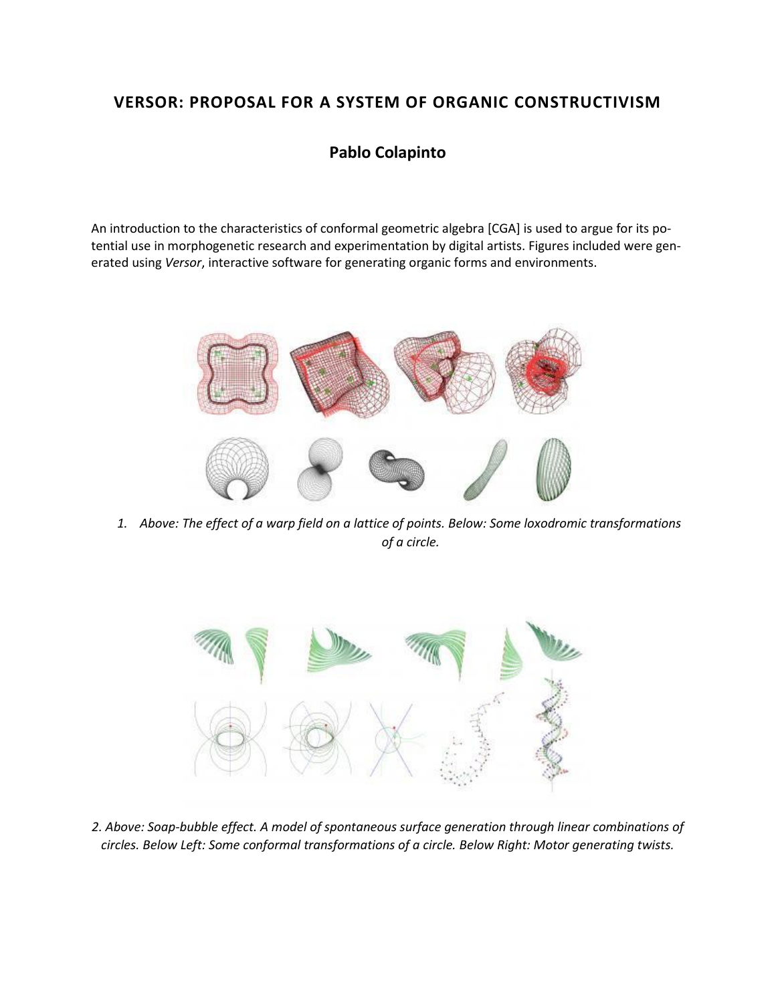# **VERSOR: PROPOSAL FOR A SYSTEM OF ORGANIC CONSTRUCTIVISM**

# **Pablo Colapinto**

An introduction to the characteristics of conformal geometric algebra [CGA] is used to argue for its potential use in morphogenetic research and experimentation by digital artists. Figures included were generated using *Versor*, interactive software for generating organic forms and environments.



*1. Above: The effect of a warp field on a lattice of points. Below: Some loxodromic transformations of a circle.*



*2. Above: Soap-bubble effect. A model of spontaneous surface generation through linear combinations of circles. Below Left: Some conformal transformations of a circle. Below Right: Motor generating twists.*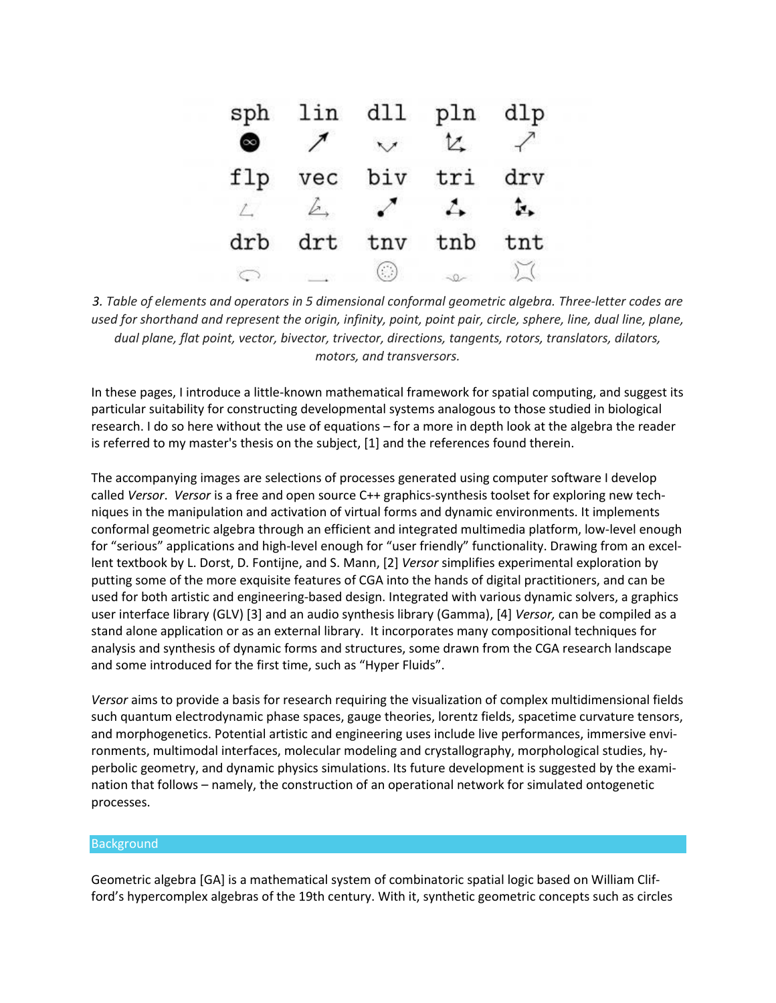| sph       |            | lin dll pln    |               | dlp |
|-----------|------------|----------------|---------------|-----|
| $\bullet$ |            | $\overline{'}$ | t.            |     |
| flp       | vec        | biv            | tri           | drv |
| $\perp$   | $\sqrt{2}$ |                | $\rightarrow$ | ŀ.  |
| drb       | drt        | tnv            | tnb           | tnt |
|           |            |                |               |     |

*3. Table of elements and operators in 5 dimensional conformal geometric algebra. Three-letter codes are used for shorthand and represent the origin, infinity, point, point pair, circle, sphere, line, dual line, plane, dual plane, flat point, vector, bivector, trivector, directions, tangents, rotors, translators, dilators, motors, and transversors.*

In these pages, I introduce a little-known mathematical framework for spatial computing, and suggest its particular suitability for constructing developmental systems analogous to those studied in biological research. I do so here without the use of equations – for a more in depth look at the algebra the reader is referred to my master's thesis on the subject, [1] and the references found therein.

The accompanying images are selections of processes generated using computer software I develop called *Versor*. *Versor* is a free and open source C++ graphics-synthesis toolset for exploring new techniques in the manipulation and activation of virtual forms and dynamic environments. It implements conformal geometric algebra through an efficient and integrated multimedia platform, low-level enough for "serious" applications and high-level enough for "user friendly" functionality. Drawing from an excellent textbook by L. Dorst, D. Fontijne, and S. Mann, [2] *Versor* simplifies experimental exploration by putting some of the more exquisite features of CGA into the hands of digital practitioners, and can be used for both artistic and engineering-based design. Integrated with various dynamic solvers, a graphics user interface library (GLV) [3] and an audio synthesis library (Gamma), [4] *Versor,* can be compiled as a stand alone application or as an external library. It incorporates many compositional techniques for analysis and synthesis of dynamic forms and structures, some drawn from the CGA research landscape and some introduced for the first time, such as "Hyper Fluids".

*Versor* aims to provide a basis for research requiring the visualization of complex multidimensional fields such quantum electrodynamic phase spaces, gauge theories, lorentz fields, spacetime curvature tensors, and morphogenetics. Potential artistic and engineering uses include live performances, immersive environments, multimodal interfaces, molecular modeling and crystallography, morphological studies, hyperbolic geometry, and dynamic physics simulations. Its future development is suggested by the examination that follows – namely, the construction of an operational network for simulated ontogenetic processes.

# Background

Geometric algebra [GA] is a mathematical system of combinatoric spatial logic based on William Clifford's hypercomplex algebras of the 19th century. With it, synthetic geometric concepts such as circles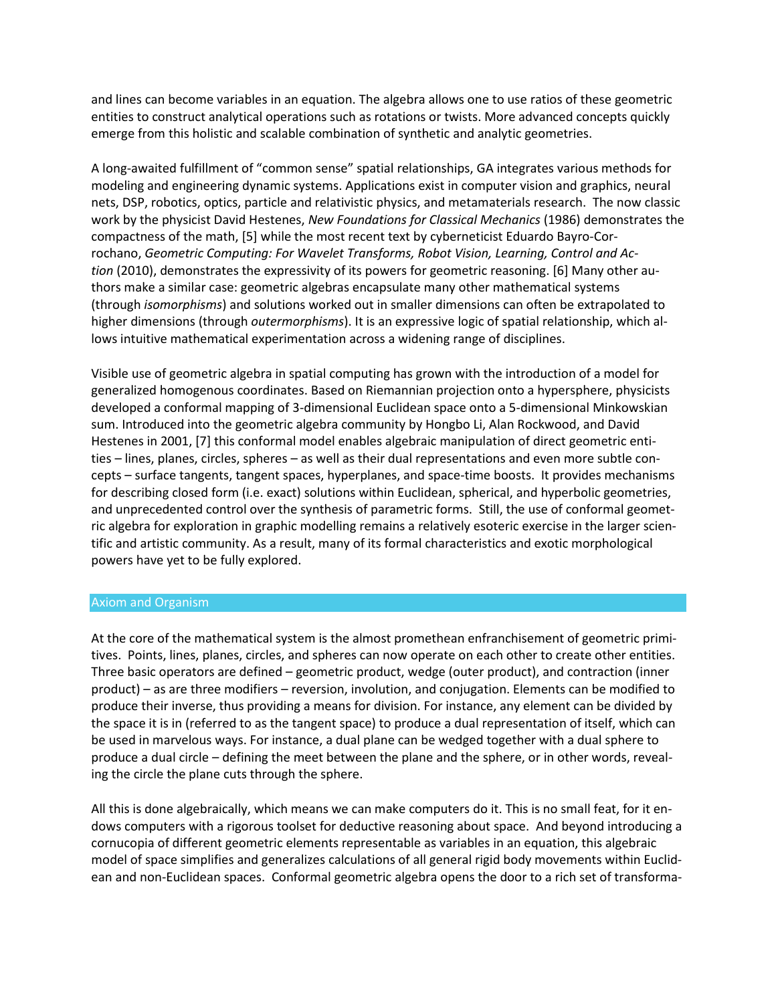and lines can become variables in an equation. The algebra allows one to use ratios of these geometric entities to construct analytical operations such as rotations or twists. More advanced concepts quickly emerge from this holistic and scalable combination of synthetic and analytic geometries.

A long-awaited fulfillment of "common sense" spatial relationships, GA integrates various methods for modeling and engineering dynamic systems. Applications exist in computer vision and graphics, neural nets, DSP, robotics, optics, particle and relativistic physics, and metamaterials research. The now classic work by the physicist David Hestenes, *New Foundations for Classical Mechanics* (1986) demonstrates the compactness of the math, [5] while the most recent text by cyberneticist Eduardo Bayro-Corrochano, *Geometric Computing: For Wavelet Transforms, Robot Vision, Learning, Control and Action* (2010), demonstrates the expressivity of its powers for geometric reasoning. [6] Many other authors make a similar case: geometric algebras encapsulate many other mathematical systems (through *isomorphisms*) and solutions worked out in smaller dimensions can often be extrapolated to higher dimensions (through *outermorphisms*). It is an expressive logic of spatial relationship, which allows intuitive mathematical experimentation across a widening range of disciplines.

Visible use of geometric algebra in spatial computing has grown with the introduction of a model for generalized homogenous coordinates. Based on Riemannian projection onto a hypersphere, physicists developed a conformal mapping of 3-dimensional Euclidean space onto a 5-dimensional Minkowskian sum. Introduced into the geometric algebra community by Hongbo Li, Alan Rockwood, and David Hestenes in 2001, [7] this conformal model enables algebraic manipulation of direct geometric entities – lines, planes, circles, spheres – as well as their dual representations and even more subtle concepts – surface tangents, tangent spaces, hyperplanes, and space-time boosts. It provides mechanisms for describing closed form (i.e. exact) solutions within Euclidean, spherical, and hyperbolic geometries, and unprecedented control over the synthesis of parametric forms. Still, the use of conformal geometric algebra for exploration in graphic modelling remains a relatively esoteric exercise in the larger scientific and artistic community. As a result, many of its formal characteristics and exotic morphological powers have yet to be fully explored.

# Axiom and Organism

At the core of the mathematical system is the almost promethean enfranchisement of geometric primitives. Points, lines, planes, circles, and spheres can now operate on each other to create other entities. Three basic operators are defined – geometric product, wedge (outer product), and contraction (inner product) – as are three modifiers – reversion, involution, and conjugation. Elements can be modified to produce their inverse, thus providing a means for division. For instance, any element can be divided by the space it is in (referred to as the tangent space) to produce a dual representation of itself, which can be used in marvelous ways. For instance, a dual plane can be wedged together with a dual sphere to produce a dual circle – defining the meet between the plane and the sphere, or in other words, revealing the circle the plane cuts through the sphere.

All this is done algebraically, which means we can make computers do it. This is no small feat, for it endows computers with a rigorous toolset for deductive reasoning about space. And beyond introducing a cornucopia of different geometric elements representable as variables in an equation, this algebraic model of space simplifies and generalizes calculations of all general rigid body movements within Euclidean and non-Euclidean spaces. Conformal geometric algebra opens the door to a rich set of transforma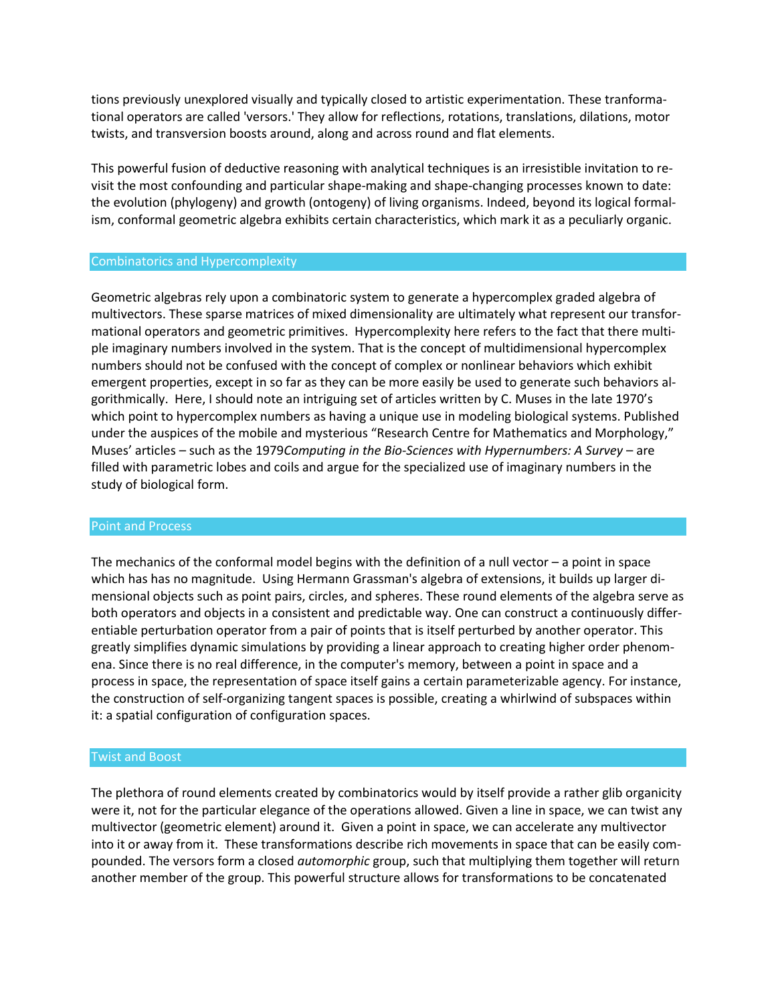tions previously unexplored visually and typically closed to artistic experimentation. These tranformational operators are called 'versors.' They allow for reflections, rotations, translations, dilations, motor twists, and transversion boosts around, along and across round and flat elements.

This powerful fusion of deductive reasoning with analytical techniques is an irresistible invitation to revisit the most confounding and particular shape-making and shape-changing processes known to date: the evolution (phylogeny) and growth (ontogeny) of living organisms. Indeed, beyond its logical formalism, conformal geometric algebra exhibits certain characteristics, which mark it as a peculiarly organic.

### Combinatorics and Hypercomplexity

Geometric algebras rely upon a combinatoric system to generate a hypercomplex graded algebra of multivectors. These sparse matrices of mixed dimensionality are ultimately what represent our transformational operators and geometric primitives. Hypercomplexity here refers to the fact that there multiple imaginary numbers involved in the system. That is the concept of multidimensional hypercomplex numbers should not be confused with the concept of complex or nonlinear behaviors which exhibit emergent properties, except in so far as they can be more easily be used to generate such behaviors algorithmically. Here, I should note an intriguing set of articles written by C. Muses in the late 1970's which point to hypercomplex numbers as having a unique use in modeling biological systems. Published under the auspices of the mobile and mysterious "Research Centre for Mathematics and Morphology," Muses' articles – such as the 1979*Computing in the Bio-Sciences with Hypernumbers: A Survey* – are filled with parametric lobes and coils and argue for the specialized use of imaginary numbers in the study of biological form.

#### Point and Process

The mechanics of the conformal model begins with the definition of a null vector  $-$  a point in space which has has no magnitude. Using Hermann Grassman's algebra of extensions, it builds up larger dimensional objects such as point pairs, circles, and spheres. These round elements of the algebra serve as both operators and objects in a consistent and predictable way. One can construct a continuously differentiable perturbation operator from a pair of points that is itself perturbed by another operator. This greatly simplifies dynamic simulations by providing a linear approach to creating higher order phenomena. Since there is no real difference, in the computer's memory, between a point in space and a process in space, the representation of space itself gains a certain parameterizable agency. For instance, the construction of self-organizing tangent spaces is possible, creating a whirlwind of subspaces within it: a spatial configuration of configuration spaces.

#### Twist and Boost

The plethora of round elements created by combinatorics would by itself provide a rather glib organicity were it, not for the particular elegance of the operations allowed. Given a line in space, we can twist any multivector (geometric element) around it. Given a point in space, we can accelerate any multivector into it or away from it. These transformations describe rich movements in space that can be easily compounded. The versors form a closed *automorphic* group, such that multiplying them together will return another member of the group. This powerful structure allows for transformations to be concatenated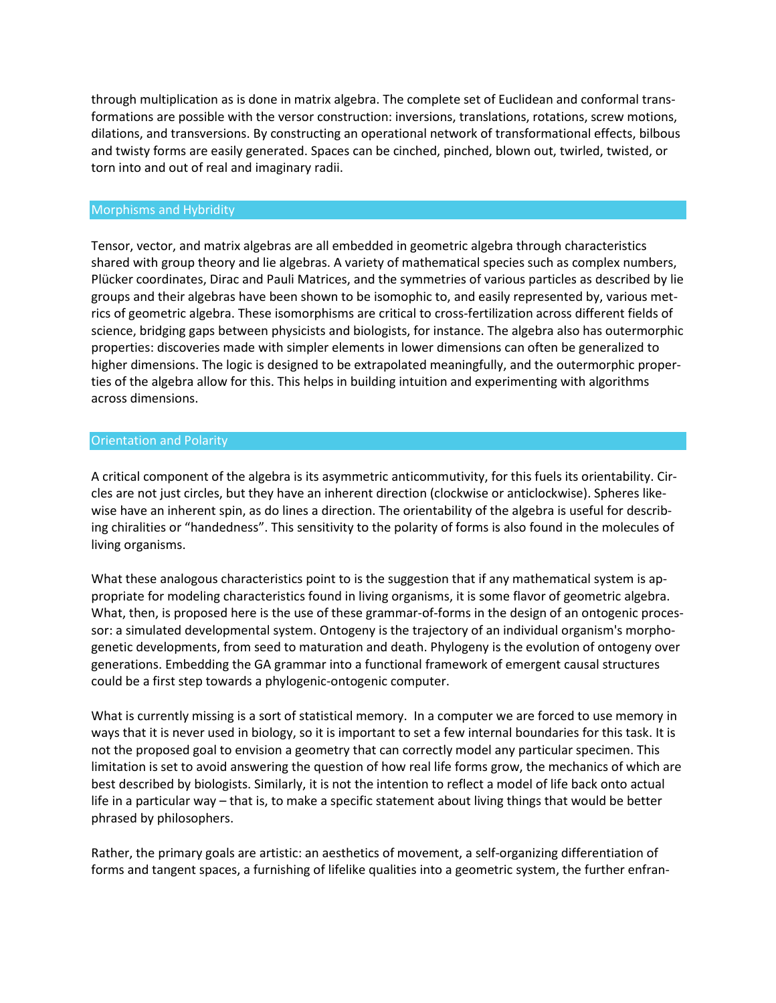through multiplication as is done in matrix algebra. The complete set of Euclidean and conformal transformations are possible with the versor construction: inversions, translations, rotations, screw motions, dilations, and transversions. By constructing an operational network of transformational effects, bilbous and twisty forms are easily generated. Spaces can be cinched, pinched, blown out, twirled, twisted, or torn into and out of real and imaginary radii.

## Morphisms and Hybridity

Tensor, vector, and matrix algebras are all embedded in geometric algebra through characteristics shared with group theory and lie algebras. A variety of mathematical species such as complex numbers, Plücker coordinates, Dirac and Pauli Matrices, and the symmetries of various particles as described by lie groups and their algebras have been shown to be isomophic to, and easily represented by, various metrics of geometric algebra. These isomorphisms are critical to cross-fertilization across different fields of science, bridging gaps between physicists and biologists, for instance. The algebra also has outermorphic properties: discoveries made with simpler elements in lower dimensions can often be generalized to higher dimensions. The logic is designed to be extrapolated meaningfully, and the outermorphic properties of the algebra allow for this. This helps in building intuition and experimenting with algorithms across dimensions.

### Orientation and Polarity

A critical component of the algebra is its asymmetric anticommutivity, for this fuels its orientability. Circles are not just circles, but they have an inherent direction (clockwise or anticlockwise). Spheres likewise have an inherent spin, as do lines a direction. The orientability of the algebra is useful for describing chiralities or "handedness". This sensitivity to the polarity of forms is also found in the molecules of living organisms.

What these analogous characteristics point to is the suggestion that if any mathematical system is appropriate for modeling characteristics found in living organisms, it is some flavor of geometric algebra. What, then, is proposed here is the use of these grammar-of-forms in the design of an ontogenic processor: a simulated developmental system. Ontogeny is the trajectory of an individual organism's morphogenetic developments, from seed to maturation and death. Phylogeny is the evolution of ontogeny over generations. Embedding the GA grammar into a functional framework of emergent causal structures could be a first step towards a phylogenic-ontogenic computer.

What is currently missing is a sort of statistical memory. In a computer we are forced to use memory in ways that it is never used in biology, so it is important to set a few internal boundaries for this task. It is not the proposed goal to envision a geometry that can correctly model any particular specimen. This limitation is set to avoid answering the question of how real life forms grow, the mechanics of which are best described by biologists. Similarly, it is not the intention to reflect a model of life back onto actual life in a particular way – that is, to make a specific statement about living things that would be better phrased by philosophers.

Rather, the primary goals are artistic: an aesthetics of movement, a self-organizing differentiation of forms and tangent spaces, a furnishing of lifelike qualities into a geometric system, the further enfran